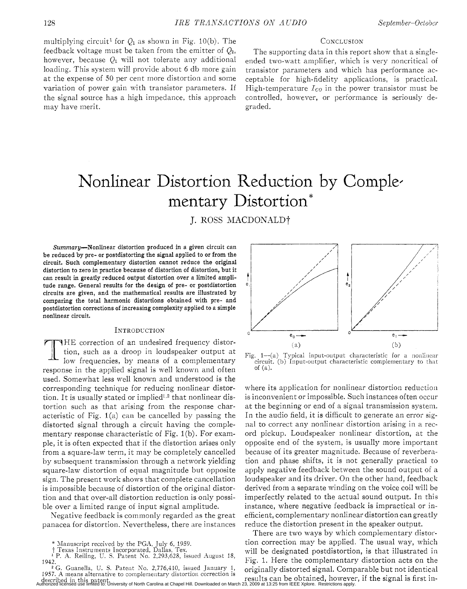multiplying circuit<sup>1</sup> for  $Q_1$  as shown in Fig. 10(b). The feedback voltage must be taken from the emitter of  $Q_2$ , however, because  $Q_1$  will not tolerate any additional loading. This system will provide about 6 db more gain at the expense of 50 per cent more distortion and some variation of power gain with transistor parameters. If the signal source has a high impedance, this approach may have merit.

## **CONCLUSION**

The supporting data in this report show that a singleended two-watt amplifier, which is very noncritical of transistor parameters and which has performance acceptable for high-fidelity applications, is practical. High-temperature  $I_{CO}$  in the power transistor must be controlled, however, or performance is seriously degraded.

# Nonlinear Distortion Reduction by Comple. mentary Distortion\*

J. ROSS MACDONALDt

**Summary-Nonlinear distortion produced in a given circuit can be reduced by pre- or postdistorting the signal applied to or from the circuit. Such complementary distortion cannot reduce the original distortion to zero in practice because** of **distortion of distortion, but it can result in greatly reduced output distortion over a limited amplitude range. General results for the design of pre- or postdistortion circuits are given, and the mathematical results are illustrated by comparing the total harmonic distortions obtained with pre- and postdistortion corrections** of **increasing complexity applied to a simple nonlinear circuit.** 

## INTRODUCTION

THE correction of an undesired frequency distortion, such as a droop in loudspeaker output at low frequencies, by means of a complementary response in the applied signal is well known and often used. Somewhat less well known and understood is the corresponding technique for reducing nonlinear distortion. It is usually stated or implied<sup>1,2</sup> that nonlinear distortion such as that arising from the response characteristic of Fig.  $1(a)$  can be cancelled by passing the distorted signal through a circuit having the complementary response characteristic of Fig. 1(b). For example, it is often expected that if the distortion arises only from a square-law term, it may be completely cancelled by subsequent transmission through a network yielding square-law distortion of equal magnitude but opposite sign. The present work shows that complete cancellation is impossible because of distortion of the original distortion and that over-all distortion reduction is only possible over a limited range of input signal amplitude.

Negative feedback is commonly regarded as the great panacea for distortion. Nevertheless, there are instances



Fig.  $1-(a)$  Typical input-output characteristic for a nonlinear circuit. (b) Input-output characteristic complementary **to** that of (a).

where its application for nonlinear distortion reduction is inconvenient or impossible. Such instances often occur at the beginning or end of a signal transmission system. In the audio field, it is difficult to generate an error signal to correct any nonlinear distortion arising in a record pickup. Loudspeaker nonlinear distortion, at the opposite end of the system, is usually more important because of its greater magnitude. Because of reverberation and phase shifts, it is not generally practical to apply negative feedback between the sound output of a loudspeaker and its driver. On the other hand, feedback derived from a separate winding on the voice coil will be imperfectly related to the actual sound output. In this instance, where negative feedback is impractical or inefficient, complementary nonlinear distortion can greatly reduce the distortion present in the speaker output.

There are two ways by which complementary distortion correction may be applied. The usual way, which will be designated postdistortion, is that illustrated in Fig. 1. Here the complementary distortion acts on the originally distorted signal. Comparable but not identical results can be obtained, however, if the signal is first in-

<sup>\*</sup> Xanuscript received by the PGA, July 6, **1959.**  t Texas Instruments Incorporated, Dallas, Tex.

<sup>&</sup>lt;sup>1</sup> P. A. Reiling, U. S. Patent No. 2,293,628, issued August 18,<br>1942. <sup>2</sup> G. Guanella, U. S. Patent No. 2,776,410, issued January 1,

described in this patent. Authorized licensed use limited to: University of North Carolina at Chapel Hill. Downloaded on March 23, 2009 at 13:25 from IEEE Xplore. Restrictions apply.**1957.** A means alternative to complementary distortion correction is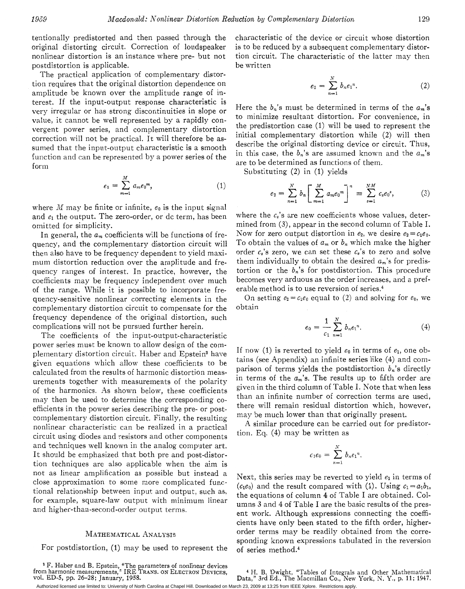tentionally predistorted and then passed through the original distorting circuit. Correction of loudspeaker nonlinear distortion is an instance where pre- but not postdistortion is applicable.

The practical application of complementary distortion requires that the original distortion dependence on amplitude be known over the amplitude range of interest. If the input-output response characteristic is very irregular or has strong discontinuities in slope or value, it cannot be well represented by a rapidly convergent power series, and complementary distortion correction will not be practical. It will therefore be assumed that the input-output characteristic is a smooth function and can be represented by a power series of the form

$$
e_1 = \sum_{m=1}^{M} a_m e_0^m, \qquad (1)
$$

where *M* may be finite or infinite, *eo* is the input signal and  $e_1$  the output. The zero-order, or dc term, has been omitted for simplicity.

In general, the  $a_m$  coefficients will be functions of frequency, and the complementary distortion circuit will then also have to be frequency dependent to yield maximum distortion reduction over the amplitude and frequency ranges of interest. In practice, however, the coefficients may be frequency independent over much of the range. While it is possible to incorporate frequency-sensitive nonlinear correcting elements in the complementary distortion circuit to compensate for the frequency dependence of the original distortion, such complications will not be pursued further herein.

The coefficients of the input-output-characteristic power series must be known *to* allow design of the complementary distortion circuit. Haber and Epstein3 have given equations which allow these coefficients to be calculated from the results of harmonic distortion measurements together with measurements of the polarity of the harmonics. As shown below, these coefficients may then be used to determine the corresponding coefficients in the power series describing the pre- or postcomplementary distortion circuit. Finally, the resulting nonlinear characteristic can be realized in a practical circuit using diodes and resistors and other components and techniques well known in the analog computer art. It should be emphasized that both pre and post-distortion techniques are also applicable when the aim is not as linear amplification as possible but instead a close approximation to some more complicated functional relationship between input and output, such as, for example, square-law output with minimum linear and higher-than-second-order output terms.

#### MATHEMATICAL ANALYSIS

For postdistortion, (1) may be used to represent the

from harmonic measurements," IRE TRANS. ON ELECTRON DEVICES, F. Haber and B. Epstein, "The parameters of nonlinear devices vol. ED-5, pp. 26-28; January, 1958.

characteristic of the device or circuit whose distortion is to be reduced by a subsequent complementary distortion circuit. The characteristic of the latter may then be written

$$
e_2 = \sum_{n=1}^{N} b_n e_1^n.
$$
 (2)

Here the  $b_n$ 's must be determined in terms of the  $a_m$ 's to minimize resultant distortion. For convenience, in the predistortion case (1) will be used to represent the initial complementary distortion while (2) will then describe the original distorting device or circuit. Thus, in this case, the  $b_n$ 's are assumed known and the  $a_m$ 's are to be determined as functions of them.

Substituting (2) in (1) yields

$$
e_2 = \sum_{n=1}^{N} b_n \left[ \sum_{m=1}^{M} a_m e_0^m \right]^n \equiv \sum_{s=1}^{NM} c_s e_0^s,
$$
 (3)

where the  $c_s$ 's are new coefficients whose values, determined from **(3),** appear in the second column of Table I. Now for zero output distortion in  $e_2$ , we desire  $e_2 = c_1 e_0$ . To obtain the values of  $a_m$  or  $b_n$  which make the higher order  $c_s$ 's zero, we can set these  $c_s$ 's to zero and solve them individually to obtain the desired *am's* for predistortion or the  $b_n$ 's for postdistortion. This procedure becomes very arduous as the order increases, and a preferable method is to use reversion of series.<sup>4</sup>

On setting  $e_2 = c_1 e_0$  equal to (2) and solving for  $e_0$ , we obtain

$$
e_0 = \frac{1}{c_1} \sum_{n=1}^{N} b_n e_1^n.
$$
 (4)

If now (1) is reverted to yield  $e_0$  in terms of  $e_1$ , one obtains (see Appendix) an infinite series like (4) and comparison of terms yields the postdistortion  $b_n$ 's directly in terms of the  $a_m$ 's. The results up to fifth order are given in the third column of Table I. Note that when less than an infinite number of correction terms are used, there will remain residual distortion which, however, may be much lower than that originally present.

A similar procedure can be carried out for predistortion. Eq. **(4)** may be written as

$$
c_1e_0=\sum_{n=1}^N b_ne_1^n.
$$

Next, this series may be reverted to yield  $e_1$  in terms of  $(c_1e_0)$  and the result compared with (1). Using  $c_1 = a_1b_1$ , the equations of column 4 of Table I are obtained. Columns **3** and 4 of Table I are the basic results of the present work. Although expressions connecting the coefficients have only been stated to the fifth order, higherorder terms may be readily obtained from the corresponding known expressions tabulated in the reversion of series method.<sup>4</sup>

<sup>&</sup>lt;sup>4</sup> H. B. Dwight, "Tables of Integrals and Other Mathematical Data," 3rd Ed., The Macmillan Co., New York, N. Y., p. 11; 1947. Authorized licensed use limited to: University of North Carolina at Chapel Hill. Downloaded on March 23, 2009 at 13:25 from IEEE Xplore. Restrictions apply.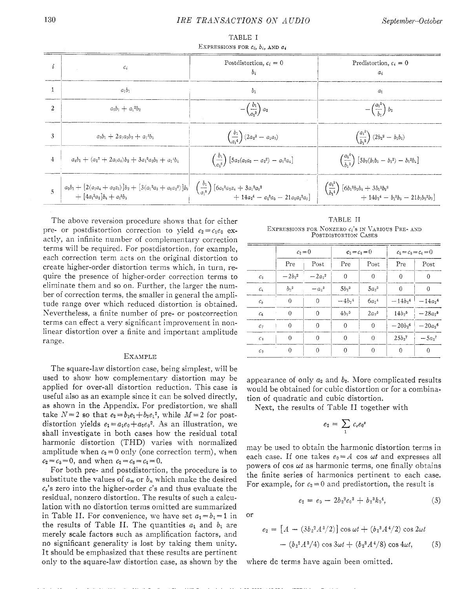| i              | $c_i$                                                     | Postdistortion, $c_i = 0$<br>$b_i$                                             | Predistortion, $c_i = 0$<br>$a_i$                                                                                                                                 |
|----------------|-----------------------------------------------------------|--------------------------------------------------------------------------------|-------------------------------------------------------------------------------------------------------------------------------------------------------------------|
|                | $a_1b_1$                                                  | $b_1$                                                                          | $a_1$                                                                                                                                                             |
| $\mathfrak{D}$ | $a_2b_1 + a_1b_2$                                         | $-\left(\frac{b_1}{a_2}\right)a_2$                                             | $-\Big(\dfrac{{a_1}^2}{b_1}\Big)\ b_2$                                                                                                                            |
| 3              | $a_3b_1 + 2a_1a_2b_2 + a_1a_2b_3$                         | $\left(\frac{b_1}{a_2^4}\right) (2a_2^2 - a_1a_3)$                             | $\left(\frac{a_1^3}{b_1^2}\right) (2b_2^2-b_1b_3)$                                                                                                                |
| $\overline{4}$ | $a_4b_1 + (a_2^2 + 2a_1a_3)b_2 + 3a_1^2a_2b_3 + a_1^4b_4$ | $\begin{pmatrix} b_1 \\ a_2 \end{pmatrix}$ [5 $a_2(a_1a_3-a_2^2) - a_1^2a_4$ ] | $\left(\frac{a_1^4}{b_1^3}\right)$ [5b <sub>2</sub> (b <sub>1</sub> b <sub>3</sub> - b <sub>2</sub> <sup>2</sup> ) - b <sub>1</sub> <sup>2</sup> b <sub>4</sub> ] |
|                |                                                           |                                                                                | $\begin{aligned} \left(\frac{a_1^{5}}{b_1^4}\right) & \left[6b_1^2b_2b_4+3b_1^2b_3^2\right. \ +\left.14b_2^4-b_1^3b_5-21b_1b_2^2b_3\right] \end{aligned}$         |

TABLE I EXPRESSIONS FOR  $c_i$ ,  $b_i$ , AND  $a_i$ 

The above reversion procedure shows that for either pre- or postdistortion correction to yield  $e_2 = c_1e_0$  exactly, an infinite number of complementary correction terms will be required. For postdistortion, for example, each correction term acts on the original distortion to create higher-order distortion terms which, in turn, require the presence of higher-order correction terms to eliminate them and so on. Further, the larger the number of correction terms, the smaller in general the amplitude range over which reduced distortion is obtained. Nevertheless, a finite number of pre- or postcorrection terms can effect a very significant improvement in nonlinear distortion over a finite and important amplitude range.

## EXAMPLE

The square-law distortion case, being simplest, will be used to show how complementary distortion may be applied for over-all distortion reduction. This case is useful also as an example since it can be solved directly, as shown in the Appendix. For predistortion, we shall take  $N=2$  so that  $e_2 = b_1e_1 + b_2e_1^2$ , while  $M=2$  for postdistortion yields  $e_1 = a_1e_0 + a_2e_0^2$ . As an illustration, we shall investigate in both cases how the residual total harmonic distortion (THD) varies with normalized amplitude when  $c_2 = 0$  only (one correction term), when  $c_2 = c_3 = 0$ , and when  $c_2 = c_3 = c_4 = 0$ .

For both pre- and postdistortion, the procedure is to substitute the values of  $a_m$  or  $b_n$  which make the desired  $c_s$ 's zero into the higher-order  $c$ 's and thus evaluate the residual, nonzero distortion. The results of such a calculation with no distortion terms omitted are summarized in Table II. For convenience, we have set  $a_1 = b_1 = 1$  in the results of Table II. The quantities  $a_1$  and  $b_1$  are merely scale factors such as amplification factors, and no significant generality is lost by taking them unity. It should be emphasized that these results are pertinent only to the square-law distortion case, as shown by the

TABLE I1 EXPRESSIONS FOR NONZERO  $c_i$ 's IN VARIOUS PRE- AND POSTDISTORTION CASES

|                            | $c_2=0$              |                      | $c_2=c_3=0$         |                     | $c_2 = c_3 = c_4 = 0$ |                       |
|----------------------------|----------------------|----------------------|---------------------|---------------------|-----------------------|-----------------------|
|                            | Pre                  | Post                 | Pre                 | Post                | Pre                   | Post                  |
| $C_3$                      | $-2b_2$ <sup>2</sup> | $-2a_2$ <sup>2</sup> | $\mathbf{0}$        | $\mathbf 0$         | 0                     | 0                     |
| $\mathcal{C}_4$            | b <sub>2</sub>       | $-a_2^3$             | $5b_2$ <sup>3</sup> | $5a_2$ <sup>3</sup> | $\theta$              | $\theta$              |
| $c_5$                      | $\theta$             | $\theta$             | $-4b^{3}$           | $6a_2$ <sup>4</sup> | $-14b_3$ <sup>4</sup> | $-14a_2$ <sup>4</sup> |
| c <sub>6</sub>             | $\overline{0}$       | 0                    | $4b^{5}$            | $2a_2$ <sup>5</sup> | $14b_2$ <sup>5</sup>  | $-28a_2$ <sup>5</sup> |
| $C_7$                      | $\theta$             | 0                    | $\theta$            | 0                   | $-20b_2$ <sup>6</sup> | $-20a_2$ <sup>6</sup> |
| $\mathcal{C}_{8}$          | $\theta$             | $\overline{0}$       | 0                   | $\theta$            | $25b_2$ <sup>7</sup>  | $-5a2$                |
| $\mathcal{C} \mathfrak{g}$ | $\theta$             | $\theta$             | $\theta$            | 0                   | 0                     | 0                     |

appearance of only *uz* and *bz.* More complicated results would be obtained for cubic distortion or for a combination of quadratic and cubic distortion.

Next, the results of Table I1 together with

$$
e_2 = \sum_1 c_s e_0^s
$$

may be used to obtain the harmonic distortion terms in each case. If one takes  $e_0 = A$  cos  $\omega t$  and expresses all powers of cos *wt* as harmonic terms, one finally obtains the finite series of harmonics pertinent to each case. For example, for  $c_2 = 0$  and predistortion, the result is

$$
e_2 = e_0 - 2b_2^2 e_0^3 + b_2^3 k_0^4,
$$
 (5)

or

Authorized licensed use limited to: University of North Carolina at Chapel Hill. Downloaded on March 23, 2009 at 13:25 from IEEE Xplore. Restrictions apply.

$$
e_2 = [A - (3b_2^2 A^3/2)] \cos \omega t + (b_2^3 A^4/2) \cos 2\omega t
$$
  
-(b<sub>2</sub><sup>2</sup> A<sup>3</sup>/4) cos 3 $\omega t$  + (b<sub>2</sub><sup>3</sup> A<sup>4</sup>/8) cos 4 $\omega t$ , (5)

where dc terms have again been omitted.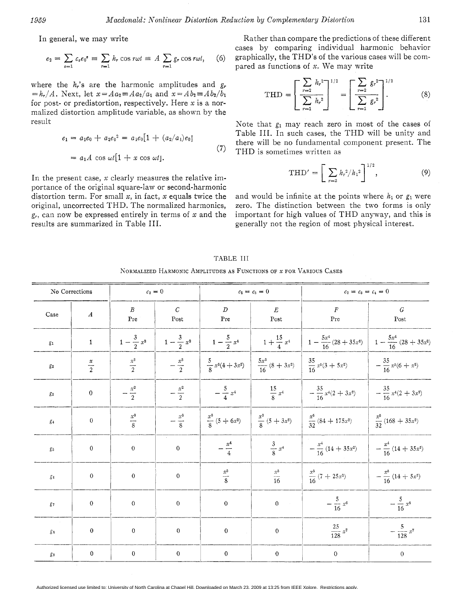In general, we may write

$$
e_2 = \sum_{s=1} c_s e_0^s \equiv \sum_{r=1} h_r \cos r \omega t \equiv A \sum_{r=1} g_r \cos r \omega t, \quad (6)
$$

where the *hr's* are the harmonic amplitudes and *gr*   $= h_r/A$ . Next, let  $x = A a_2 = A a_2/a_1$  and  $x = A b_2 = A b_2/b_1$ for post- or predistortion, respectively. Here *x* is a normalized distortion amplitude variable, as shown by the result

$$
e_1 = a_1 e_0 + a_2 e_0^2 = a_1 e_0 [1 + (a_2/a_1) e_0]
$$
  
=  $a_1 A \cos \omega t [1 + x \cos \omega t].$  (7)

In the present case, *x* clearly measures the relative importance of the original square-law or second-harmonic distortion term. For small *x,* in fact, *x* equals twice the original, uncorrected THD. The normalized harmonics, g,, can now be expressed entirely in terms of *x* and the results are summarized in Table 111.

Rather than compare the predictions of these different cases by comparing individual harmonic behavior graphically, the THD's of the various cases will be compared as functions of *x.* We may write

$$
\text{THD} = \left[ \sum_{r=2}^{r=2} h_r^2 \right]^{1/2} = \left[ \sum_{r=2}^{r=2} g_r^2 \right]^{1/2} \tag{8}
$$

Note that  $g_1$  may reach zero in most of the cases of Table 111. In such cases, the THD will be unity and there will be no fundamental component present. The THD is sometimes written as

$$
THD' = \left[ \sum_{r=2} h_r^2 / h_1^2 \right]^{1/2}, \tag{9}
$$

and would be infinite at the points where  $h_1$  or  $g_1$  were zero. The distinction between the two forms is only important for high values of THD anyway, and this is generally not the region of most physical interest.

| No Corrections   |                  | $c_2=0$                 |                        | $c_2 = c_3 = 0$          |                                                                                                 | $c_2 = c_3 = c_4 = 0$          |                               |
|------------------|------------------|-------------------------|------------------------|--------------------------|-------------------------------------------------------------------------------------------------|--------------------------------|-------------------------------|
| Case             | $\boldsymbol{A}$ | $\boldsymbol{B}$<br>Pre | $\overline{C}$<br>Post | $\boldsymbol{D}$<br>Pre  | $\cal E$<br>$\operatorname*{Post}% \left( X\right) \equiv\operatorname*{Post}\left( X\right) ,$ | $\boldsymbol{F}$<br>Pre        | $\cal G$<br>Post              |
| $\mathfrak{g}_1$ | $\mathbf 1$      | $1-\frac{3}{2}x^2$      | $1-\frac{3}{2}x^2$     | $1-\frac{5}{2}x^4$       | $1+\frac{15}{4}x^4$                                                                             | $1-\frac{5x^4}{16}(28+35x^2)$  | $1-\frac{5x^4}{16}(28+35x^2)$ |
| $\mathfrak{g}_2$ | $\frac{x}{2}$    | $\frac{x^3}{2}$         | $-\frac{x^3}{2}$       | $\frac{5}{8}x^3(4+3x^2)$ | $\frac{5x^3}{16}$ (8 + 3x <sup>2</sup> )                                                        | $\frac{35}{16}x^{5}(3+5x^{2})$ | $-\frac{35}{16}x^5(6+x^2)$    |
| $g_3$            | $\boldsymbol{0}$ | $-\frac{x^2}{2}$        | $-\frac{x^2}{2}$       | $-\frac{5}{4}x^4$        | $\frac{15}{8} x^4$                                                                              | $-\frac{35}{16}x^4(2+3x^2)$    | $-\frac{35}{16}x^4(2+3x^2)$   |
| $g_4$            | $\boldsymbol{0}$ | $\frac{x^3}{8}$         | $-\frac{x^3}{8}$       | $\frac{x^3}{8}(5+6x^2)$  | $\frac{x^3}{8}(5+3x^2)$                                                                         | $rac{x^5}{32}(84+175x^2)$      | $rac{x^5}{32}(168 + 35x^2)$   |
| $g_5\,$          | $\boldsymbol{0}$ | $\boldsymbol{0}$        | $\mathbf{0}$           | $-\frac{x^4}{4}$         | $\frac{3}{8} x^4$                                                                               | $-\frac{x^4}{16}(14+35x^2)$    | $-\frac{x^4}{16}(14+35x^2)$   |
| $g_{\rm 6}$      | $\mathbf 0$      | $\boldsymbol{0}$        | $\boldsymbol{0}$       | $\frac{x^5}{8}$          | $\frac{x^5}{16}$                                                                                | $rac{x^5}{16}(7+25x^2)$        | $-\frac{x^5}{16}(14+5x^2)$    |
| $g_7\,$          | $\overline{0}$   | $\theta$                | $\boldsymbol{0}$       | $\,0\,$                  | $\overline{0}$                                                                                  | $-\frac{5}{16} x^6$            | $-\frac{5}{16} x^6$           |
| $g_{\bf 8}$      | $\boldsymbol{0}$ | $\boldsymbol{0}$        | $\boldsymbol{0}$       | $\boldsymbol{0}$         | $\mathbf{0}$                                                                                    | $\frac{25}{128} x^7$           | $-\frac{5}{128} x^7$          |
| $g_{9}$          | $\boldsymbol{0}$ | $\overline{0}$          | $\boldsymbol{0}$       | $\boldsymbol{0}$         | $\mathbf{0}$                                                                                    | $\boldsymbol{0}$               | $\boldsymbol{0}$              |

TABLE 111

XORMALIZED HARMOXIC AMPLITUDES **AS** FUNCTIONS OF *X* FOR VARIOUS CASES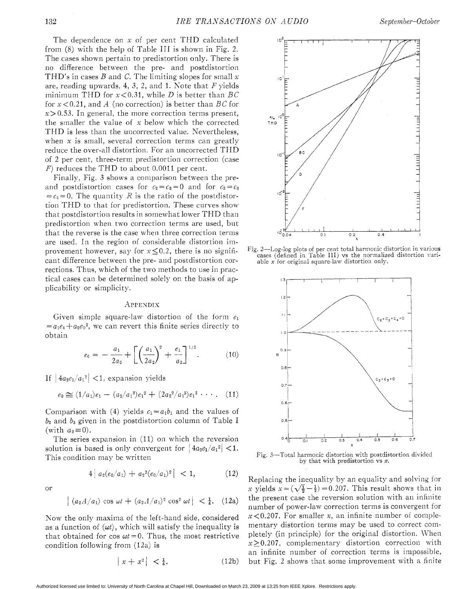The dependence on x of per cent THD calculated from (8) with the help of 'Table I11 is shown in Fig. *2.*  The cases shown pertain to predistortion only. There is no difference between the pre- and postdistortion THD's in cases *B* and C. The limiting slopes for small x are, reading upwards, 4, 3, 2, and 1. Kote that *F* yields minimum THD for  $x < 0.31$ , while *D* is better than *BC* for x *<0.21,* and *A* (no correction) is better than *BC* for  $x > 0.53$ . In general, the more correction terms present, the smaller the value of  $x$  below which the corrected THD is less than the uncorrected value. Nevertheless, when *x* is small, several correction terms can greatly reduce the over-all distortion. For an uncorrected THD of *2* per cent, three-term predistortion correction (case *F)* reduces the THD to about 0.0011 per cent.

Finally, Fig. 3 shows a comparison between the preand postdistortion cases for  $c_2 = c_3 = 0$  and for  $c_2 = c_3$  $=c_4 = 0$ . The quantity *R* is the ratio of the postdistortion THD to that for predistortion. These curves show that postdistortion results in somewhat lower THD than predistortion when two correction terms are used, but that the reverse is the case when three correction terms are used. In the region of considerable distortion improvement however, say for  $x < 0.2$ , there is no significant difference between the pre- and postdistortion corrections. Thus, which of the two methods to use in practical cases can be determined solely on the basis of applicability or simplicity.

## .APPENDIS

Given simple square-law distortion of the form  $e_1$  $= a_1e_0 + a_2e_0^2$ , we can revert this finite series directly to obtain

$$
e_0 = -\frac{a_1}{2a_2} + \left[ \left( \frac{a_1}{2a_2} \right)^2 + \frac{e_1}{a_2} \right]^{1/2}.
$$
 (10)

If  $|4a_2e_1/a_1|^2|$  < 1, expansion yields

$$
e_0 \cong (1/a_1)e_1 - (a_2/a_1^3)e_1^2 + (2a_2^2/a_1^5)e_1^3 \cdots
$$
 (11)

Comparison with (4) yields  $c_1 = a_1b_1$  and the values of *bz* and *ba* given in the postdistortion column of Table I (with  $a_3=0$ ).

The series expansion in (11) on which the reversion solution is based is only convergent for  $|4a_2e_1/a_1^2| < 1$ . This condition may be written

$$
4|a_2(e_0/a_1)+a_2^2(e_0/a_1)^2| < 1,\tag{12}
$$

or

$$
\left| (a_2 A/a_1) \cos \omega t + (a_2 A/a_1)^2 \cos^2 \omega t \right| < \frac{1}{4}.
$$
 (12a)

Now the only maxima of the left-hand side, considered as a function of  $(\omega t)$ , which will satisfy the inequality is that obtained for cos  $\omega t = 0$ . Thus, the most restrictive condition following from (12a) is

$$
\left| x + x^2 \right| < \frac{1}{4}.\tag{12b}
$$



Fig. 2-Log-log plots of per cent total harmonic distortion in various cases (defined in Table 111) vs the normalized distortion variable *x* for original square-law distortion only.



Fig. 3-Total harmonic distortion with postdistortion divided by that with predistortion vs *x.* 

Replacing the inequality by an equality and solving for *x* yields  $x = (\sqrt{\frac{1}{2}} - \frac{1}{2}) = 0.207$ . This result shows that in the present case the reversion solution with an infinite number of power-law correction terms is convergent for  $x < 0.207$ . For smaller *x*, an infinite number of complementary distortion terms may be used to correct completely (in principle) for the original distortion. When *x>0.207,* complementary distortion correction with an infinite number of correction terms is impossible, but Fig. 2 shows that some improvement with a finite

Authorized licensed use limited to: University of North Carolina at Chapel Hill. Downloaded on March 23, 2009 at 13:25 from IEEE Xplore. Restrictions apply.